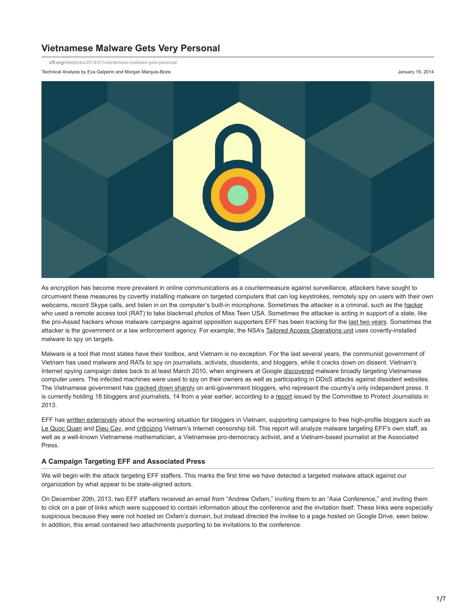# **Vietnamese Malware Gets Very Personal**

**eff.org**[/deeplinks/2014/01/vietnamese-malware-gets-personal](https://www.eff.org/deeplinks/2014/01/vietnamese-malware-gets-personal)

Technical Analysis by Eva Galperin and Morgan Marquis-Boire January 19, 2014



As encryption has become more prevalent in online communications as a countermeasure against surveillance, attackers have sought to circumvent these measures by covertly installing malware on targeted computers that can log keystrokes, remotely spy on users with their own webcams, record Skype calls, and listen in on the computer's built-in microphone. Sometimes the attacker is a criminal, such as the [hacker](http://arstechnica.com/tech-policy/2013/09/miss-teen-usas-webcam-spy-called-himself-cutefuzzypuppy/) who used a remote access tool (RAT) to take blackmail photos of Miss Teen USA. Sometimes the attacker is acting in support of a state, like the pro-Assad hackers whose malware campaigns against opposition supporters EFF has been tracking for the [last two years](https://www.eff.org/issues/state-sponsored-malware). Sometimes the attacker is the government or a law enforcement agency. For example, the NSA's [Tailored Access Operations unit](http://www.spiegel.de/international/world/the-nsa-uses-powerful-toolbox-in-effort-to-spy-on-global-networks-a-940969.html) uses covertly-installed malware to spy on targets.

Malware is a tool that most states have their toolbox, and Vietnam is no exception. For the last several years, the communist government of Vietnam has used malware and RATs to spy on journalists, activists, dissidents, and bloggers, while it cracks down on dissent. Vietnam's Internet spying campaign dates back to at least March 2010, when engineers at Google [discovered](http://googleonlinesecurity.blogspot.com/2010/03/chilling-effects-of-malware.html) malware broadly targeting Vietnamese computer users. The infected machines were used to spy on their owners as well as participating in DDoS attacks against dissident websites. The Vietnamese government has [cracked down sharply](http://www.theguardian.com/world/2012/sep/13/vietnam-orders-crackdown-bloggers) on anti-government bloggers, who represent the country's only independent press. It is currently holding 18 bloggers and journalists, 14 from a year earlier, according to a [report](http://www.voanews.com/content/cpj-vietnam-intensifies-crackdown-on-journalists/1813161.html) issued by the Committee to Protect Journalists in 2013.

EFF has [written extensively](http://www.voanews.com/content/cpj-vietnam-intensifies-crackdown-on-journalists/1813161.html) about the worsening situation for bloggers in Vietnam, supporting campaigns to free high-profile bloggers such as [Le Quoc Quan](https://www.eff.org/deeplinks/2013/03/human-rights-organizations-call-un-aid-detained-vietnamese-blogger-le-quoc-quan) and [Dieu Cay](https://www.causes.com/freedieucay), and [criticizing](https://www.eff.org/deeplinks/2012/06/week-internet-censorship-arrests-oman-disturbing-internet-decree-vietnam-and) Vietnam's Internet censorship bill. This report will analyze malware targeting EFF's own staff, as well as a well-known Vietnamese mathematician, a Vietnamese pro-democracy activist, and a Vietnam-based journalist at the Associated Press.

#### **A Campaign Targeting EFF and Associated Press**

We will begin with the attack targeting EFF staffers. This marks the first time we have detected a targeted malware attack against our organization by what appear to be state-aligned actors.

On December 20th, 2013, two EFF staffers received an email from "Andrew Oxfam," inviting them to an "Asia Conference," and inviting them to click on a pair of links which were supposed to contain information about the conference and the invitation itself. These links were especially suspicious because they were not hosted on Oxfam's domain, but instead directed the invitee to a page hosted on Google Drive, seen below. In addition, this email contained two attachments purporting to be invitations to the conference.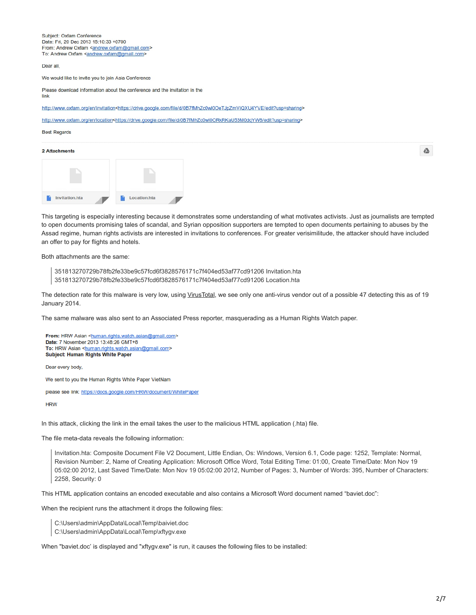Subject: Oxfam Conference Date: Fri. 20 Dec 2013 15:10:33 +0700 From: Andrew Oxfam <andrew.oxfam@gmail.com> To: Andrew Oxfam <andrew.oxfam@gmail.com>

Dear all.

We would like to invite you to join Asia Conference

Please download information about the conference and the invitation in the link

http://www.oxfam.org/en/invitation<https://drive.google.com/file/d/0B7fMhZc0wl0OeTJpZmViQXU4YVE/edit?usp=sharing>

http://www.oxfam.org/en/location<https://drive.google.com/file/d/0B7fMhZc0wl0ORkRKaU53M0dqYW8/edit?usp=sharing>

#### **Best Regards**

#### 2 Attachments



This targeting is especially interesting because it demonstrates some understanding of what motivates activists. Just as journalists are tempted to open documents promising tales of scandal, and Syrian opposition supporters are tempted to open documents pertaining to abuses by the Assad regime, human rights activists are interested in invitations to conferences. For greater verisimilitude, the attacker should have included an offer to pay for flights and hotels.

Both attachments are the same:

```
351813270729b78fb2fe33be9c57fcd6f3828576171c7f404ed53af77cd91206 Invitation.hta
351813270729b78fb2fe33be9c57fcd6f3828576171c7f404ed53af77cd91206 Location.hta
```
The detection rate for this malware is very low, using [VirusTotal](https://www.virustotal.com/en/file/351813270729b78fb2fe33be9c57fcd6f3828576171c7f404ed53af77cd91206/analysis/), we see only one anti-virus vendor out of a possible 47 detecting this as of 19 January 2014.

The same malware was also sent to an Associated Press reporter, masquerading as a Human Rights Watch paper.

From: HRW Asian <human.rights.watch.asian@gmail.com> Date: 7 November 2013 13:48:26 GMT+8 To: HRW Asian <human.rights.watch.asian@gmail.com> **Subject: Human Rights White Paper** 

Dear every body,

We sent to you the Human Rights White Paper VietNam

please see link: https://docs.google.com/HRW/document/WhitePaper

**HRW** 

In this attack, clicking the link in the email takes the user to the malicious HTML application (.hta) file.

The file meta-data reveals the following information:

Invitation.hta: Composite Document File V2 Document, Little Endian, Os: Windows, Version 6.1, Code page: 1252, Template: Normal, Revision Number: 2, Name of Creating Application: Microsoft Office Word, Total Editing Time: 01:00, Create Time/Date: Mon Nov 19 05:02:00 2012, Last Saved Time/Date: Mon Nov 19 05:02:00 2012, Number of Pages: 3, Number of Words: 395, Number of Characters: 2258, Security: 0

This HTML application contains an encoded executable and also contains a Microsoft Word document named "baviet.doc":

When the recipient runs the attachment it drops the following files:

C:\Users\admin\AppData\Local\Temp\baiviet.doc

C:\Users\admin\AppData\Local\Temp\xftygv.exe

When "baviet.doc' is displayed and "xftygv.exe" is run, it causes the following files to be installed:

 $\triangle$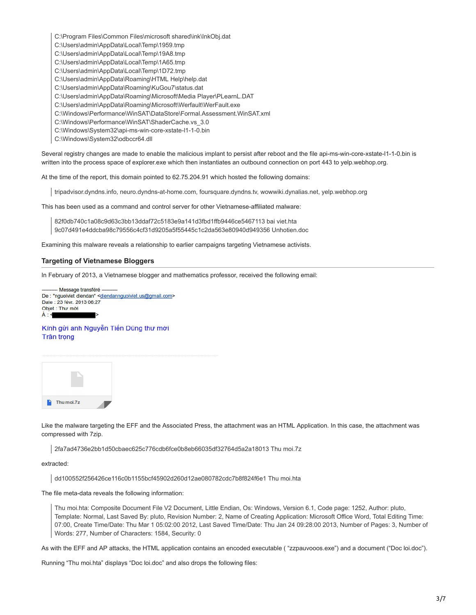C:\Program Files\Common Files\microsoft shared\ink\InkObj.dat C:\Users\admin\AppData\Local\Temp\1959.tmp C:\Users\admin\AppData\Local\Temp\19A8.tmp C:\Users\admin\AppData\Local\Temp\1A65.tmp C:\Users\admin\AppData\Local\Temp\1D72.tmp C:\Users\admin\AppData\Roaming\HTML Help\help.dat C:\Users\admin\AppData\Roaming\KuGou7\status.dat C:\Users\admin\AppData\Roaming\Microsoft\Media Player\PLearnL.DAT C:\Users\admin\AppData\Roaming\Microsoft\Werfault\WerFault.exe C:\Windows\Performance\WinSAT\DataStore\Formal.Assessment.WinSAT.xml C:\Windows\Performance\WinSAT\ShaderCache.vs\_3.0 C:\Windows\System32\api-ms-win-core-xstate-l1-1-0.bin C:\Windows\System32\odbccr64.dll

Several registry changes are made to enable the malicious implant to persist after reboot and the file api-ms-win-core-xstate-l1-1-0.bin is written into the process space of explorer.exe which then instantiates an outbound connection on port 443 to yelp.webhop.org.

At the time of the report, this domain pointed to 62.75.204.91 which hosted the following domains:

tripadvisor.dyndns.info, neuro.dyndns-at-home.com, foursquare.dyndns.tv, wowwiki.dynalias.net, yelp.webhop.org

This has been used as a command and control server for other Vietnamese-affiliated malware:

82f0db740c1a08c9d63c3bb13ddaf72c5183e9a141d3fbd1ffb9446ce5467113 bai viet.hta 9c07d491e4ddcba98c79556c4cf31d9205a5f55445c1c2da563e80940d949356 Unhotien.doc

Examining this malware reveals a relationship to earlier campaigns targeting Vietnamese activists.

#### **Targeting of Vietnamese Bloggers**

In February of 2013, a Vietnamese blogger and mathematics professor, received the following email:

- Message transféré -De: "nguoiviet diendan" <diendannguoiviet.us@gmail.com> Date: 23 févr. 2013 06:27 Objet: Thư mời  $\mathbf{A}$  -  $\leq$ 

Kính gửi anh Nguyễn Tiến Dũng thư mời Trân trọng



Like the malware targeting the EFF and the Associated Press, the attachment was an HTML Application. In this case, the attachment was compressed with 7zip.

2fa7ad4736e2bb1d50cbaec625c776cdb6fce0b8eb66035df32764d5a2a18013 Thu moi.7z

extracted:

dd100552f256426ce116c0b1155bcf45902d260d12ae080782cdc7b8f824f6e1 Thu moi.hta

The file meta-data reveals the following information:

Thu moi.hta: Composite Document File V2 Document, Little Endian, Os: Windows, Version 6.1, Code page: 1252, Author: pluto, Template: Normal, Last Saved By: pluto, Revision Number: 2, Name of Creating Application: Microsoft Office Word, Total Editing Time: 07:00, Create Time/Date: Thu Mar 1 05:02:00 2012, Last Saved Time/Date: Thu Jan 24 09:28:00 2013, Number of Pages: 3, Number of Words: 277, Number of Characters: 1584, Security: 0

As with the EFF and AP attacks, the HTML application contains an encoded executable ( "zzpauvooos.exe") and a document ("Doc loi.doc").

Running "Thu moi.hta" displays "Doc loi.doc" and also drops the following files: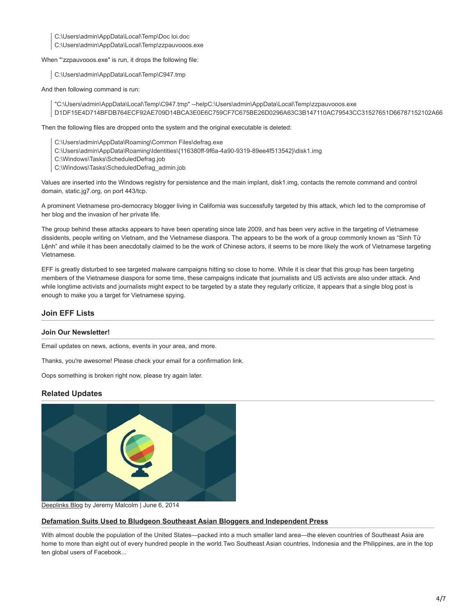C:\Users\admin\AppData\Local\Temp\Doc loi.doc

C:\Users\admin\AppData\Local\Temp\zzpauvooos.exe

When "'zzpauvooos.exe" is run, it drops the following file:

C:\Users\admin\AppData\Local\Temp\C947.tmp

And then following command is run:

"C:\Users\admin\AppData\Local\Temp\C947.tmp" --helpC:\Users\admin\AppData\Local\Temp\zzpauvooos.exe D1DF15E4D714BFDB764ECF92AE709D14BCA3E0E6C759CF7C675BE26D0296A63C3B147110AC79543CC31527651D66787152102A66

Then the following files are dropped onto the system and the original executable is deleted:

C:\Users\admin\AppData\Roaming\Common Files\defrag.exe

- C:\Users\admin\AppData\Roaming\Identities\{116380ff-9f6a-4a90-9319-89ee4f513542}\disk1.img
- C:\Windows\Tasks\ScheduledDefrag.job
- C:\Windows\Tasks\ScheduledDefrag\_admin.job

Values are inserted into the Windows registry for persistence and the main implant, disk1.img, contacts the remote command and control domain, static.jg7.org, on port 443/tcp.

A prominent Vietnamese pro-democracy blogger living in California was successfully targeted by this attack, which led to the compromise of her blog and the invasion of her private life.

The group behind these attacks appears to have been operating since late 2009, and has been very active in the targeting of Vietnamese dissidents, people writing on Vietnam, and the Vietnamese diaspora. The appears to be the work of a group commonly known as "Sinh Tử Lệnh" and while it has been anecdotally claimed to be the work of Chinese actors, it seems to be more likely the work of Vietnamese targeting Vietnamese.

EFF is greatly disturbed to see targeted malware campaigns hitting so close to home. While it is clear that this group has been targeting members of the Vietnamese diaspora for some time, these campaigns indicate that journalists and US activists are also under attack. And while longtime activists and journalists might expect to be targeted by a state they regularly criticize, it appears that a single blog post is enough to make you a target for Vietnamese spying.

## **Join EFF Lists**

### **Join Our Newsletter!**

Email updates on news, actions, events in your area, and more.

Thanks, you're awesome! Please check your email for a confirmation link.

Oops something is broken right now, please try again later.

## **Related Updates**



[Deeplinks Blog](https://www.eff.org/updates?type=blog) by Jeremy Malcolm | June 6, 2014

### **[Defamation Suits Used to Bludgeon Southeast Asian Bloggers and Independent Press](https://www.eff.org/deeplinks/2014/06/defamation-suits-used-bludgeon-southeast-asian-bloggers-and-independent-press)**

With almost double the population of the United States—packed into a much smaller land area—the eleven countries of Southeast Asia are home to more than eight out of every hundred people in the world.Two Southeast Asian countries, Indonesia and the Philippines, are in the top ten global users of Facebook...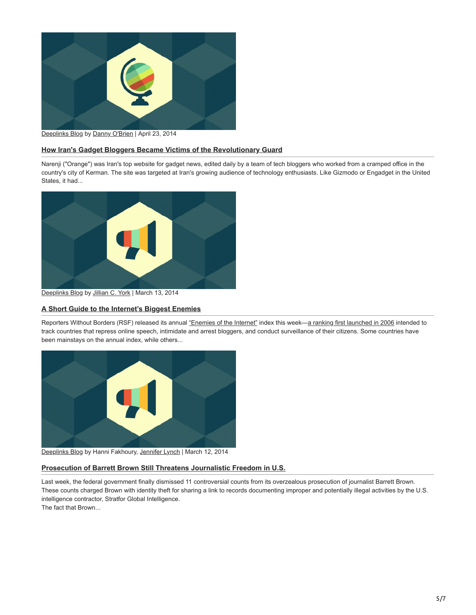

[Deeplinks Blog](https://www.eff.org/updates?type=blog) by [Danny O'Brien](https://www.eff.org/about/staff/danny-obrien-0) | April 23, 2014

## **[How Iran's Gadget Bloggers Became Victims of the Revolutionary Guard](https://www.eff.org/deeplinks/2014/04/how-irans-gadget-bloggers-became-victims-revolutionary-guard)**

Narenji ("Orange") was Iran's top website for gadget news, edited daily by a team of tech bloggers who worked from a cramped office in the country's city of Kerman. The site was targeted at Iran's growing audience of technology enthusiasts. Like Gizmodo or Engadget in the United States, it had...



[Deeplinks Blog](https://www.eff.org/updates?type=blog) by [Jillian C. York](https://www.eff.org/about/staff/jillian-york) | March 13, 2014

### **[A Short Guide to the Internet's Biggest Enemies](https://www.eff.org/deeplinks/2014/03/short-guide-internets-biggest-enemies)**

Reporters Without Borders (RSF) released its annual ["Enemies of the Internet"](http://12mars.rsf.org/2014-en/#slide2) index this week[—a ranking first launched in 2006](http://en.rsf.org/list-of-the-13-internet-enemies-07-11-2006,19603) intended to track countries that repress online speech, intimidate and arrest bloggers, and conduct surveillance of their citizens. Some countries have been mainstays on the annual index, while others...



[Deeplinks Blog](https://www.eff.org/updates?type=blog) by Hanni Fakhoury, [Jennifer Lynch](https://www.eff.org/about/staff/jennifer-lynch) | March 12, 2014

### **[Prosecution of Barrett Brown Still Threatens Journalistic Freedom in U.S.](https://www.eff.org/deeplinks/2014/03/prosecution-barrett-brown-still-threatens-journalistic-freedom-us)**

Last week, the federal government finally dismissed 11 controversial counts from its overzealous prosecution of journalist Barrett Brown. These counts charged Brown with identity theft for sharing a link to records documenting improper and potentially illegal activities by the U.S. intelligence contractor, Stratfor Global Intelligence. The fact that Brown...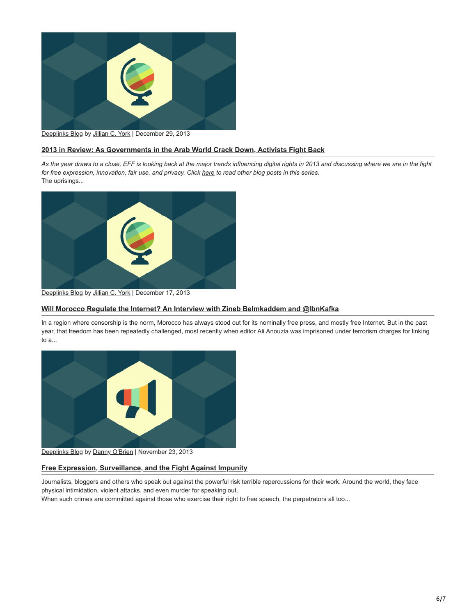

## [Deeplinks Blog](https://www.eff.org/updates?type=blog) by [Jillian C. York](https://www.eff.org/about/staff/jillian-york) | December 29, 2013

### **[2013 in Review: As Governments in the Arab World Crack Down, Activists Fight Back](https://www.eff.org/deeplinks/2013/12/2013-review-governments-arab-world-crack-down-activists-fight-back)**

*As the year draws to a close, EFF is looking back at the major trends influencing digital rights in 2013 and discussing where we are in the fight* for free expression, innovation, fair use, and privacy. Click *here* to read other blog posts in this series. The uprisings...



[Deeplinks Blog](https://www.eff.org/updates?type=blog) by [Jillian C. York](https://www.eff.org/about/staff/jillian-york) | December 17, 2013

#### **[Will Morocco Regulate the Internet? An Interview with Zineb Belmkaddem and @IbnKafka](https://www.eff.org/deeplinks/2013/12/will-morocco-regulate-internet-interview-zineb-belmkaddem-and-ibn-kafka)**

In a region where censorship is the norm, Morocco has always stood out for its nominally free press, and mostly free Internet. But in the past year, that freedom has been [repeatedly challenged](https://www.eff.org/deeplinks/2012/02/moroccan-activists-arrest-signals-crackdown-speech), most recently when editor Ali Anouzla was [imprisoned under terrorism charges](https://www.eff.org/deeplinks/2013/09/critical-moroccan-editor-arrested-linking-youtube-video) for linking to a...



[Deeplinks Blog](https://www.eff.org/updates?type=blog) by [Danny O'Brien](https://www.eff.org/about/staff/danny-obrien-0) | November 23, 2013

#### **[Free Expression, Surveillance, and the Fight Against Impunity](https://www.eff.org/deeplinks/2013/11/free-expression-surveillance-and-fight-against-impunity)**

Journalists, bloggers and others who speak out against the powerful risk terrible repercussions for their work. Around the world, they face physical intimidation, violent attacks, and even murder for speaking out.

When such crimes are committed against those who exercise their right to free speech, the perpetrators all too...